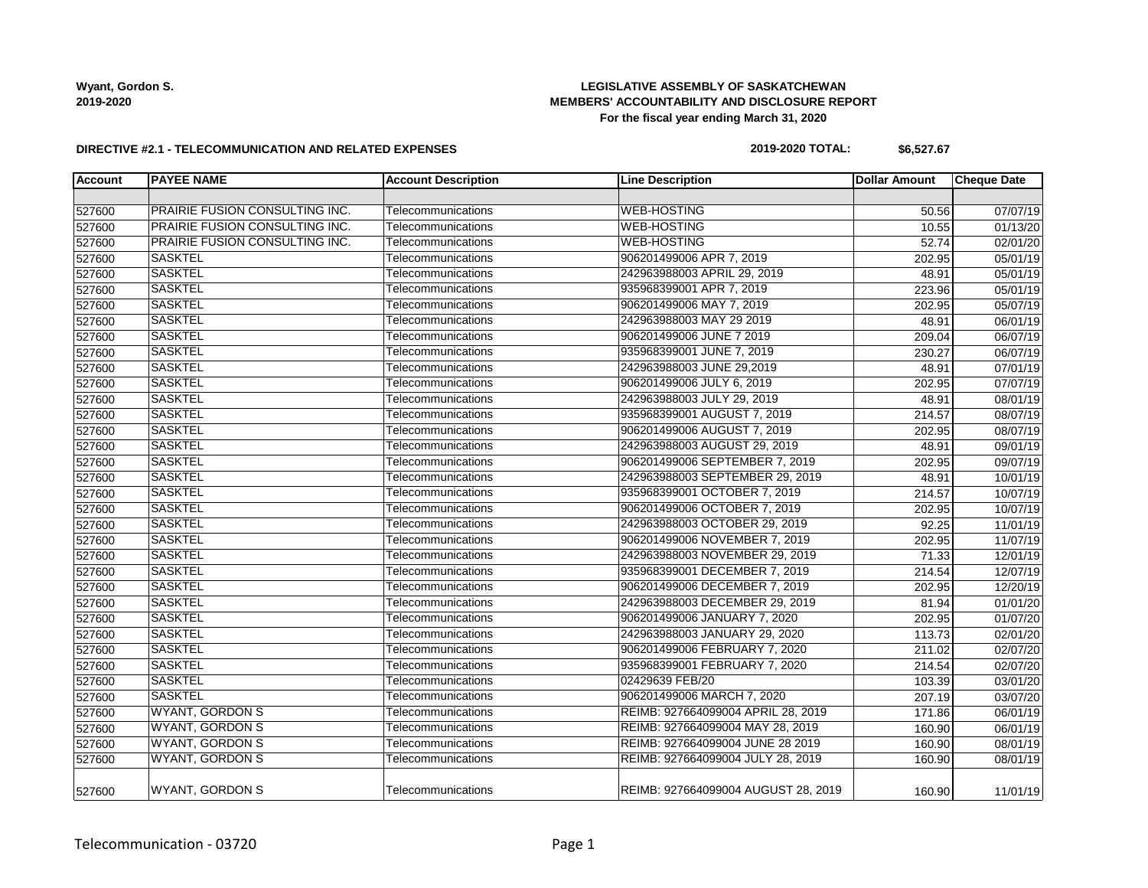## **LEGISLATIVE ASSEMBLY OF SASKATCHEWAN MEMBERS' ACCOUNTABILITY AND DISCLOSURE REPORT For the fiscal year ending March 31, 2020**

### **DIRECTIVE #2.1 - TELECOMMUNICATION AND RELATED EXPENSES**

### **2019-2020 TOTAL: \$6,527.67**

| <b>Account</b> | <b>PAYEE NAME</b>              | <b>Account Description</b> | <b>Line Description</b>             | <b>Dollar Amount</b> | <b>Cheque Date</b> |
|----------------|--------------------------------|----------------------------|-------------------------------------|----------------------|--------------------|
|                |                                |                            |                                     |                      |                    |
| 527600         | PRAIRIE FUSION CONSULTING INC. | Telecommunications         | <b>WEB-HOSTING</b>                  | 50.56                | 07/07/19           |
| 527600         | PRAIRIE FUSION CONSULTING INC. | Telecommunications         | <b>WEB-HOSTING</b>                  | 10.55                | 01/13/20           |
| 527600         | PRAIRIE FUSION CONSULTING INC. | Telecommunications         | <b>WEB-HOSTING</b>                  | 52.74                | 02/01/20           |
| 527600         | <b>SASKTEL</b>                 | Telecommunications         | 906201499006 APR 7, 2019            | 202.95               | 05/01/19           |
| 527600         | <b>SASKTEL</b>                 | Telecommunications         | 242963988003 APRIL 29, 2019         | 48.91                | 05/01/19           |
| 527600         | <b>SASKTEL</b>                 | Telecommunications         | 935968399001 APR 7, 2019            | 223.96               | 05/01/19           |
| 527600         | <b>SASKTEL</b>                 | Telecommunications         | 906201499006 MAY 7, 2019            | 202.95               | 05/07/19           |
| 527600         | <b>SASKTEL</b>                 | Telecommunications         | 242963988003 MAY 29 2019            | 48.91                | 06/01/19           |
| 527600         | <b>SASKTEL</b>                 | Telecommunications         | 906201499006 JUNE 7 2019            | 209.04               | 06/07/19           |
| 527600         | <b>SASKTEL</b>                 | Telecommunications         | 935968399001 JUNE 7, 2019           | 230.27               | 06/07/19           |
| 527600         | <b>SASKTEL</b>                 | Telecommunications         | 242963988003 JUNE 29,2019           | 48.91                | 07/01/19           |
| 527600         | <b>SASKTEL</b>                 | Telecommunications         | 906201499006 JULY 6, 2019           | 202.95               | 07/07/19           |
| 527600         | <b>SASKTEL</b>                 | Telecommunications         | 242963988003 JULY 29, 2019          | 48.91                | 08/01/19           |
| 527600         | <b>SASKTEL</b>                 | Telecommunications         | 935968399001 AUGUST 7, 2019         | 214.57               | 08/07/19           |
| 527600         | <b>SASKTEL</b>                 | Telecommunications         | 906201499006 AUGUST 7, 2019         | 202.95               | 08/07/19           |
| 527600         | <b>SASKTEL</b>                 | Telecommunications         | 242963988003 AUGUST 29, 2019        | 48.91                | 09/01/19           |
| 527600         | <b>SASKTEL</b>                 | Telecommunications         | 906201499006 SEPTEMBER 7, 2019      | 202.95               | 09/07/19           |
| 527600         | <b>SASKTEL</b>                 | Telecommunications         | 242963988003 SEPTEMBER 29, 2019     | 48.91                | 10/01/19           |
| 527600         | <b>SASKTEL</b>                 | Telecommunications         | 935968399001 OCTOBER 7, 2019        | 214.57               | 10/07/19           |
| 527600         | <b>SASKTEL</b>                 | Telecommunications         | 906201499006 OCTOBER 7, 2019        | 202.95               | 10/07/19           |
| 527600         | <b>SASKTEL</b>                 | Telecommunications         | 242963988003 OCTOBER 29, 2019       | 92.25                | 11/01/19           |
| 527600         | <b>SASKTEL</b>                 | Telecommunications         | 906201499006 NOVEMBER 7, 2019       | 202.95               | 11/07/19           |
| 527600         | <b>SASKTEL</b>                 | Telecommunications         | 242963988003 NOVEMBER 29, 2019      | 71.33                | 12/01/19           |
| 527600         | <b>SASKTEL</b>                 | Telecommunications         | 935968399001 DECEMBER 7, 2019       | 214.54               | 12/07/19           |
| 527600         | <b>SASKTEL</b>                 | Telecommunications         | 906201499006 DECEMBER 7, 2019       | 202.95               | 12/20/19           |
| 527600         | <b>SASKTEL</b>                 | Telecommunications         | 242963988003 DECEMBER 29, 2019      | 81.94                | 01/01/20           |
| 527600         | <b>SASKTEL</b>                 | Telecommunications         | 906201499006 JANUARY 7, 2020        | 202.95               | 01/07/20           |
| 527600         | <b>SASKTEL</b>                 | Telecommunications         | 242963988003 JANUARY 29, 2020       | 113.73               | 02/01/20           |
| 527600         | <b>SASKTEL</b>                 | Telecommunications         | 906201499006 FEBRUARY 7, 2020       | 211.02               | 02/07/20           |
| 527600         | <b>SASKTEL</b>                 | Telecommunications         | 935968399001 FEBRUARY 7, 2020       | 214.54               | 02/07/20           |
| 527600         | <b>SASKTEL</b>                 | Telecommunications         | 02429639 FEB/20                     | 103.39               | 03/01/20           |
| 527600         | <b>SASKTEL</b>                 | Telecommunications         | 906201499006 MARCH 7, 2020          | 207.19               | 03/07/20           |
| 527600         | <b>WYANT, GORDON S</b>         | Telecommunications         | REIMB: 927664099004 APRIL 28, 2019  | 171.86               | 06/01/19           |
| 527600         | <b>WYANT, GORDON S</b>         | Telecommunications         | REIMB: 927664099004 MAY 28, 2019    | 160.90               | 06/01/19           |
| 527600         | <b>WYANT, GORDON S</b>         | Telecommunications         | REIMB: 927664099004 JUNE 28 2019    | 160.90               | 08/01/19           |
| 527600         | <b>WYANT, GORDON S</b>         | Telecommunications         | REIMB: 927664099004 JULY 28, 2019   | 160.90               | 08/01/19           |
| 527600         | <b>WYANT, GORDON S</b>         | Telecommunications         | REIMB: 927664099004 AUGUST 28, 2019 | 160.90               | 11/01/19           |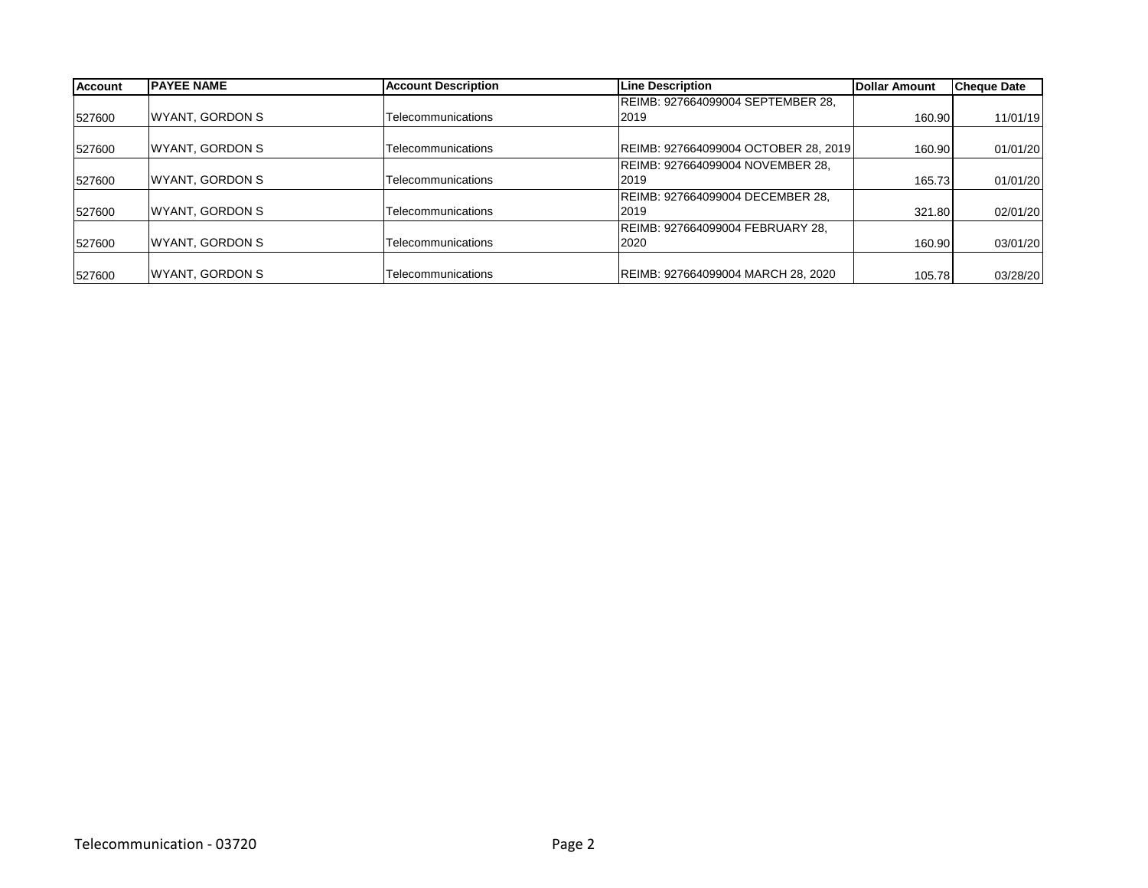| <b>Account</b> | <b>IPAYEE NAME</b> | <b>Account Description</b> | <b>Line Description</b>              | Dollar Amount | <b>Cheque Date</b> |
|----------------|--------------------|----------------------------|--------------------------------------|---------------|--------------------|
|                |                    |                            | REIMB: 927664099004 SEPTEMBER 28,    |               |                    |
| 527600         | WYANT, GORDON S    | Telecommunications         | 2019                                 | 160.90        | 11/01/19           |
| 527600         | WYANT, GORDON S    | Telecommunications         | REIMB: 927664099004 OCTOBER 28, 2019 | 160.90        | 01/01/20           |
|                |                    |                            | REIMB: 927664099004 NOVEMBER 28,     |               |                    |
| 527600         | WYANT, GORDON S    | Telecommunications         | 2019                                 | 165.73        | 01/01/20           |
|                |                    |                            | REIMB: 927664099004 DECEMBER 28,     |               |                    |
| 527600         | WYANT, GORDON S    | Telecommunications         | 2019                                 | 321.80        | 02/01/20           |
|                |                    |                            | REIMB: 927664099004 FEBRUARY 28,     |               |                    |
| 527600         | WYANT, GORDON S    | Telecommunications         | 2020                                 | 160.90        | 03/01/20           |
| 527600         | WYANT, GORDON S    | Telecommunications         | REIMB: 927664099004 MARCH 28, 2020   | 105.78        | 03/28/20           |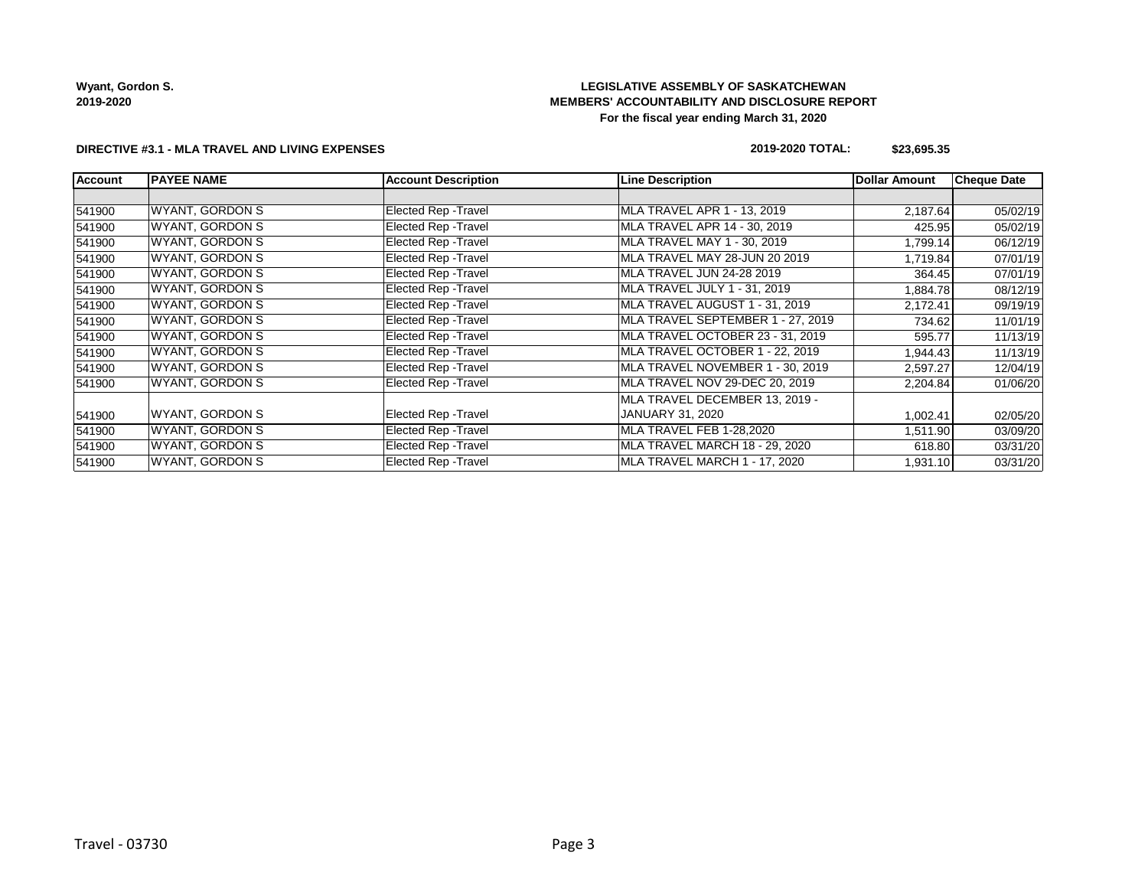## **LEGISLATIVE ASSEMBLY OF SASKATCHEWAN MEMBERS' ACCOUNTABILITY AND DISCLOSURE REPORT For the fiscal year ending March 31, 2020**

### **DIRECTIVE #3.1 - MLA TRAVEL AND LIVING EXPENSES**

### **2019-2020 TOTAL: \$23,695.35**

| <b>Account</b> | <b>PAYEE NAME</b>      | <b>Account Description</b>  | <b>Line Description</b>           | <b>Dollar Amount</b> | <b>Cheque Date</b> |
|----------------|------------------------|-----------------------------|-----------------------------------|----------------------|--------------------|
|                |                        |                             |                                   |                      |                    |
| 541900         | WYANT, GORDON S        | <b>Elected Rep - Travel</b> | MLA TRAVEL APR 1 - 13, 2019       | 2,187.64             | 05/02/19           |
| 541900         | WYANT, GORDON S        | <b>Elected Rep - Travel</b> | MLA TRAVEL APR 14 - 30, 2019      | 425.95               | 05/02/19           |
| 541900         | WYANT, GORDON S        | <b>Elected Rep - Travel</b> | MLA TRAVEL MAY 1 - 30, 2019       | 1,799.14             | 06/12/19           |
| 541900         | WYANT, GORDON S        | <b>Elected Rep - Travel</b> | MLA TRAVEL MAY 28-JUN 20 2019     | 1,719.84             | 07/01/19           |
| 541900         | WYANT, GORDON S        | Elected Rep - Travel        | MLA TRAVEL JUN 24-28 2019         | 364.45               | 07/01/19           |
| 541900         | WYANT, GORDON S        | <b>Elected Rep - Travel</b> | MLA TRAVEL JULY 1 - 31, 2019      | 1,884.78             | 08/12/19           |
| 541900         | WYANT, GORDON S        | <b>Elected Rep - Travel</b> | MLA TRAVEL AUGUST 1 - 31, 2019    | 2,172.41             | 09/19/19           |
| 541900         | WYANT, GORDON S        | <b>Elected Rep - Travel</b> | MLA TRAVEL SEPTEMBER 1 - 27, 2019 | 734.62               | 11/01/19           |
| 541900         | WYANT, GORDON S        | <b>Elected Rep - Travel</b> | MLA TRAVEL OCTOBER 23 - 31, 2019  | 595.77               | 11/13/19           |
| 541900         | WYANT, GORDON S        | Elected Rep - Travel        | MLA TRAVEL OCTOBER 1 - 22, 2019   | 1,944.43             | 11/13/19           |
| 541900         | WYANT, GORDON S        | Elected Rep - Travel        | MLA TRAVEL NOVEMBER 1 - 30, 2019  | 2,597.27             | 12/04/19           |
| 541900         | <b>WYANT, GORDON S</b> | Elected Rep - Travel        | MLA TRAVEL NOV 29-DEC 20, 2019    | 2,204.84             | 01/06/20           |
|                |                        |                             | MLA TRAVEL DECEMBER 13, 2019 -    |                      |                    |
| 541900         | WYANT, GORDON S        | <b>Elected Rep - Travel</b> | JANUARY 31, 2020                  | 1,002.41             | 02/05/20           |
| 541900         | WYANT, GORDON S        | Elected Rep - Travel        | <b>MLA TRAVEL FEB 1-28,2020</b>   | 1,511.90             | 03/09/20           |
| 541900         | WYANT, GORDON S        | <b>Elected Rep - Travel</b> | MLA TRAVEL MARCH 18 - 29, 2020    | 618.80               | 03/31/20           |
| 541900         | <b>WYANT, GORDON S</b> | <b>Elected Rep - Travel</b> | MLA TRAVEL MARCH 1 - 17, 2020     | 1,931.10             | 03/31/20           |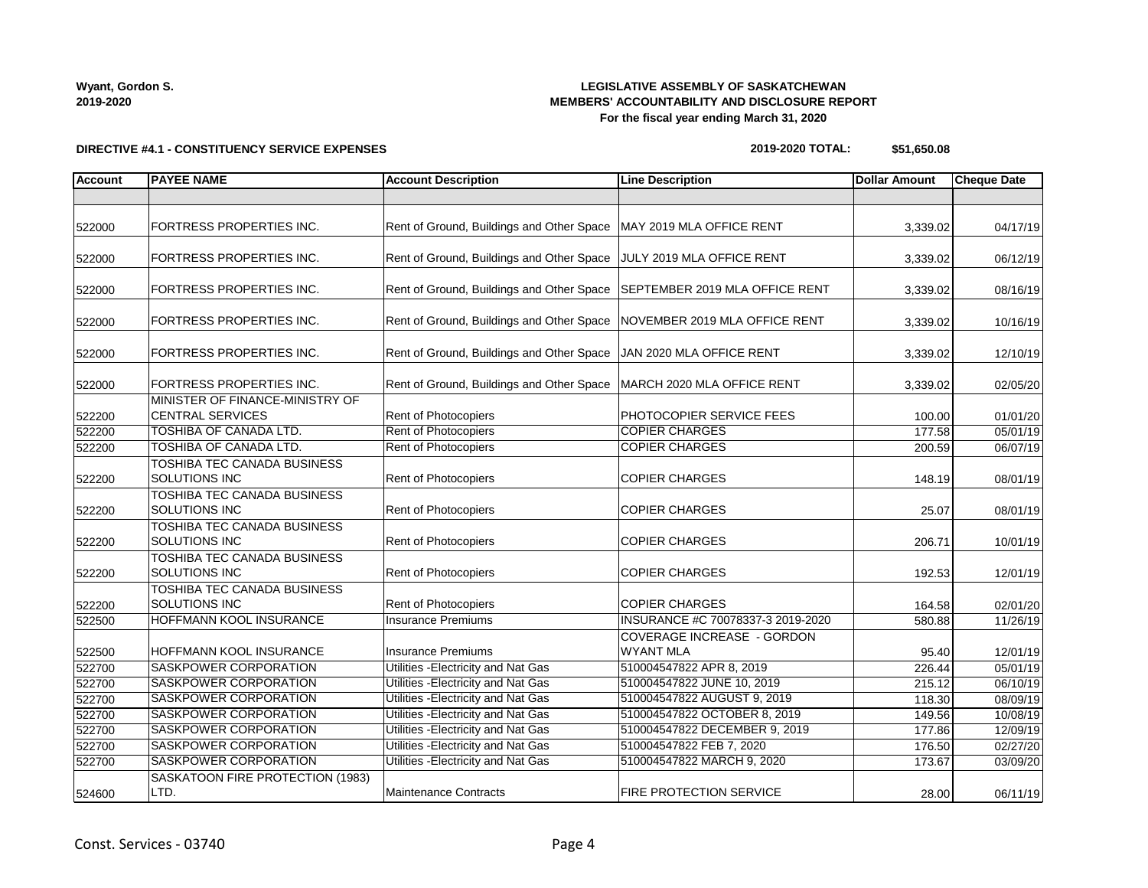## **LEGISLATIVE ASSEMBLY OF SASKATCHEWAN MEMBERS' ACCOUNTABILITY AND DISCLOSURE REPORT For the fiscal year ending March 31, 2020**

**DIRECTIVE #4.1 - CONSTITUENCY SERVICE EXPENSES**

### **2019-2020 TOTAL: \$51,650.08**

| <b>Account</b> | <b>PAYEE NAME</b>                                          | <b>Account Description</b>                                              | <b>Line Description</b>                        | <b>Dollar Amount</b> | <b>Cheque Date</b> |
|----------------|------------------------------------------------------------|-------------------------------------------------------------------------|------------------------------------------------|----------------------|--------------------|
|                |                                                            |                                                                         |                                                |                      |                    |
| 522000         | FORTRESS PROPERTIES INC.                                   | Rent of Ground, Buildings and Other Space   MAY 2019 MLA OFFICE RENT    |                                                | 3,339.02             | 04/17/19           |
| 522000         | FORTRESS PROPERTIES INC.                                   | Rent of Ground, Buildings and Other Space                               | JULY 2019 MLA OFFICE RENT                      | 3,339.02             | 06/12/19           |
| 522000         | FORTRESS PROPERTIES INC.                                   | Rent of Ground, Buildings and Other Space                               | SEPTEMBER 2019 MLA OFFICE RENT                 | 3,339.02             | 08/16/19           |
| 522000         | FORTRESS PROPERTIES INC.                                   | Rent of Ground, Buildings and Other Space NOVEMBER 2019 MLA OFFICE RENT |                                                | 3,339.02             | 10/16/19           |
| 522000         | FORTRESS PROPERTIES INC.                                   | Rent of Ground, Buildings and Other Space JAN 2020 MLA OFFICE RENT      |                                                | 3,339.02             | 12/10/19           |
| 522000         | FORTRESS PROPERTIES INC.                                   | Rent of Ground, Buildings and Other Space   MARCH 2020 MLA OFFICE RENT  |                                                | 3,339.02             | 02/05/20           |
| 522200         | MINISTER OF FINANCE-MINISTRY OF<br><b>CENTRAL SERVICES</b> | Rent of Photocopiers                                                    | PHOTOCOPIER SERVICE FEES                       | 100.00               | 01/01/20           |
| 522200         | <b>TOSHIBA OF CANADA LTD.</b>                              | Rent of Photocopiers                                                    | <b>COPIER CHARGES</b>                          | 177.58               | 05/01/19           |
| 522200         | TOSHIBA OF CANADA LTD.                                     | Rent of Photocopiers                                                    | <b>COPIER CHARGES</b>                          | 200.59               | 06/07/19           |
| 522200         | TOSHIBA TEC CANADA BUSINESS<br><b>SOLUTIONS INC</b>        | Rent of Photocopiers                                                    | <b>COPIER CHARGES</b>                          | 148.19               | 08/01/19           |
| 522200         | <b>TOSHIBA TEC CANADA BUSINESS</b><br><b>SOLUTIONS INC</b> | Rent of Photocopiers                                                    | <b>COPIER CHARGES</b>                          | 25.07                | 08/01/19           |
| 522200         | TOSHIBA TEC CANADA BUSINESS<br><b>SOLUTIONS INC</b>        | Rent of Photocopiers                                                    | <b>COPIER CHARGES</b>                          | 206.71               | 10/01/19           |
| 522200         | TOSHIBA TEC CANADA BUSINESS<br>SOLUTIONS INC               | <b>Rent of Photocopiers</b>                                             | <b>COPIER CHARGES</b>                          | 192.53               | 12/01/19           |
| 522200         | TOSHIBA TEC CANADA BUSINESS<br><b>SOLUTIONS INC</b>        | Rent of Photocopiers                                                    | <b>COPIER CHARGES</b>                          | 164.58               | 02/01/20           |
| 522500         | <b>HOFFMANN KOOL INSURANCE</b>                             | <b>Insurance Premiums</b>                                               | INSURANCE #C 70078337-3 2019-2020              | 580.88               | 11/26/19           |
| 522500         | HOFFMANN KOOL INSURANCE                                    | <b>Insurance Premiums</b>                                               | COVERAGE INCREASE - GORDON<br><b>WYANT MLA</b> | 95.40                | 12/01/19           |
| 522700         | <b>SASKPOWER CORPORATION</b>                               | Utilities - Electricity and Nat Gas                                     | 510004547822 APR 8, 2019                       | 226.44               | 05/01/19           |
| 522700         | SASKPOWER CORPORATION                                      | Utilities - Electricity and Nat Gas                                     | 510004547822 JUNE 10, 2019                     | 215.12               | 06/10/19           |
| 522700         | SASKPOWER CORPORATION                                      | Utilities - Electricity and Nat Gas                                     | 510004547822 AUGUST 9, 2019                    | 118.30               | 08/09/19           |
| 522700         | SASKPOWER CORPORATION                                      | Utilities - Electricity and Nat Gas                                     | 510004547822 OCTOBER 8, 2019                   | 149.56               | 10/08/19           |
| 522700         | SASKPOWER CORPORATION                                      | Utilities - Electricity and Nat Gas                                     | 510004547822 DECEMBER 9, 2019                  | 177.86               | 12/09/19           |
| 522700         | SASKPOWER CORPORATION                                      | Utilities - Electricity and Nat Gas                                     | 510004547822 FEB 7, 2020                       | 176.50               | 02/27/20           |
| 522700         | SASKPOWER CORPORATION                                      | Utilities - Electricity and Nat Gas                                     | 510004547822 MARCH 9, 2020                     | 173.67               | 03/09/20           |
| 524600         | SASKATOON FIRE PROTECTION (1983)<br>LTD.                   | Maintenance Contracts                                                   | <b>FIRE PROTECTION SERVICE</b>                 | 28.00                | 06/11/19           |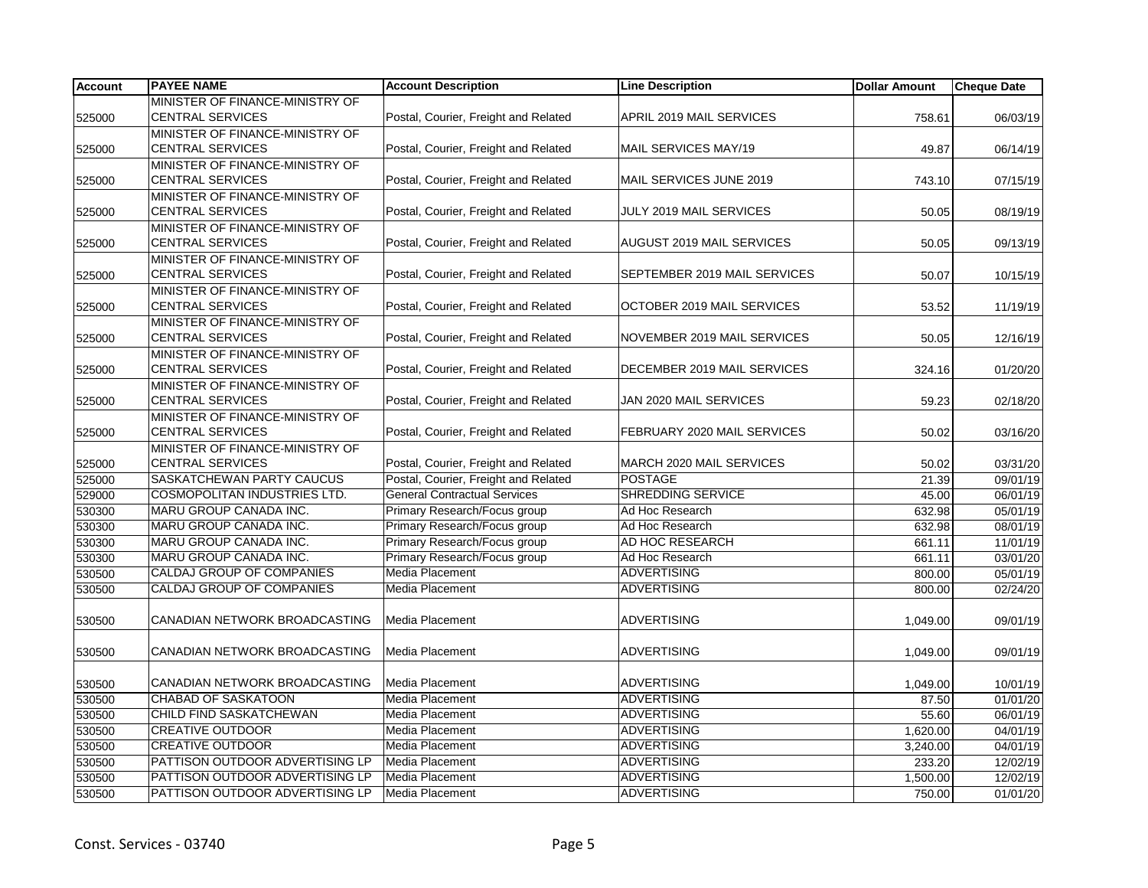| <b>Account</b> | <b>PAYEE NAME</b>                | <b>Account Description</b>           | <b>Line Description</b>      | <b>Dollar Amount</b> | <b>Cheque Date</b> |
|----------------|----------------------------------|--------------------------------------|------------------------------|----------------------|--------------------|
|                | MINISTER OF FINANCE-MINISTRY OF  |                                      |                              |                      |                    |
| 525000         | <b>CENTRAL SERVICES</b>          | Postal, Courier, Freight and Related | APRIL 2019 MAIL SERVICES     | 758.61               | 06/03/19           |
|                | MINISTER OF FINANCE-MINISTRY OF  |                                      |                              |                      |                    |
| 525000         | <b>CENTRAL SERVICES</b>          | Postal, Courier, Freight and Related | MAIL SERVICES MAY/19         | 49.87                | 06/14/19           |
|                | MINISTER OF FINANCE-MINISTRY OF  |                                      |                              |                      |                    |
| 525000         | <b>CENTRAL SERVICES</b>          | Postal, Courier, Freight and Related | MAIL SERVICES JUNE 2019      | 743.10               | 07/15/19           |
|                | MINISTER OF FINANCE-MINISTRY OF  |                                      |                              |                      |                    |
| 525000         | <b>CENTRAL SERVICES</b>          | Postal, Courier, Freight and Related | JULY 2019 MAIL SERVICES      | 50.05                | 08/19/19           |
|                | MINISTER OF FINANCE-MINISTRY OF  |                                      |                              |                      |                    |
| 525000         | <b>CENTRAL SERVICES</b>          | Postal, Courier, Freight and Related | AUGUST 2019 MAIL SERVICES    | 50.05                | 09/13/19           |
|                | MINISTER OF FINANCE-MINISTRY OF  |                                      |                              |                      |                    |
| 525000         | <b>CENTRAL SERVICES</b>          | Postal, Courier, Freight and Related | SEPTEMBER 2019 MAIL SERVICES | 50.07                | 10/15/19           |
|                | MINISTER OF FINANCE-MINISTRY OF  |                                      |                              |                      |                    |
| 525000         | <b>CENTRAL SERVICES</b>          | Postal, Courier, Freight and Related | OCTOBER 2019 MAIL SERVICES   | 53.52                | 11/19/19           |
|                | MINISTER OF FINANCE-MINISTRY OF  |                                      |                              |                      |                    |
| 525000         | <b>CENTRAL SERVICES</b>          | Postal, Courier, Freight and Related | NOVEMBER 2019 MAIL SERVICES  | 50.05                | 12/16/19           |
|                | MINISTER OF FINANCE-MINISTRY OF  |                                      |                              |                      |                    |
| 525000         | <b>CENTRAL SERVICES</b>          | Postal, Courier, Freight and Related | DECEMBER 2019 MAIL SERVICES  | 324.16               | 01/20/20           |
|                | MINISTER OF FINANCE-MINISTRY OF  |                                      |                              |                      |                    |
| 525000         | <b>CENTRAL SERVICES</b>          | Postal, Courier, Freight and Related | JAN 2020 MAIL SERVICES       | 59.23                | 02/18/20           |
|                | MINISTER OF FINANCE-MINISTRY OF  |                                      |                              |                      |                    |
| 525000         | <b>CENTRAL SERVICES</b>          | Postal, Courier, Freight and Related | FEBRUARY 2020 MAIL SERVICES  | 50.02                | 03/16/20           |
|                | MINISTER OF FINANCE-MINISTRY OF  |                                      |                              |                      |                    |
| 525000         | <b>CENTRAL SERVICES</b>          | Postal, Courier, Freight and Related | MARCH 2020 MAIL SERVICES     | 50.02                | 03/31/20           |
| 525000         | SASKATCHEWAN PARTY CAUCUS        | Postal, Courier, Freight and Related | <b>POSTAGE</b>               | 21.39                | 09/01/19           |
| 529000         | COSMOPOLITAN INDUSTRIES LTD.     | <b>General Contractual Services</b>  | <b>SHREDDING SERVICE</b>     | 45.00                | 06/01/19           |
| 530300         | MARU GROUP CANADA INC.           | Primary Research/Focus group         | Ad Hoc Research              | 632.98               | 05/01/19           |
| 530300         | MARU GROUP CANADA INC.           | Primary Research/Focus group         | Ad Hoc Research              | 632.98               | 08/01/19           |
| 530300         | MARU GROUP CANADA INC.           | Primary Research/Focus group         | AD HOC RESEARCH              | 661.11               | 11/01/19           |
| 530300         | MARU GROUP CANADA INC.           | Primary Research/Focus group         | Ad Hoc Research              | 661.11               | 03/01/20           |
| 530500         | CALDAJ GROUP OF COMPANIES        | <b>Media Placement</b>               | <b>ADVERTISING</b>           | 800.00               | 05/01/19           |
| 530500         | <b>CALDAJ GROUP OF COMPANIES</b> | Media Placement                      | <b>ADVERTISING</b>           | 800.00               | 02/24/20           |
|                |                                  |                                      |                              |                      |                    |
| 530500         | CANADIAN NETWORK BROADCASTING    | Media Placement                      | <b>ADVERTISING</b>           | 1,049.00             | 09/01/19           |
|                |                                  |                                      |                              |                      |                    |
| 530500         | CANADIAN NETWORK BROADCASTING    | Media Placement                      | <b>ADVERTISING</b>           | 1,049.00             | 09/01/19           |
|                |                                  |                                      |                              |                      |                    |
| 530500         | CANADIAN NETWORK BROADCASTING    | Media Placement                      | <b>ADVERTISING</b>           | 1,049.00             | 10/01/19           |
| 530500         | <b>CHABAD OF SASKATOON</b>       | Media Placement                      | <b>ADVERTISING</b>           | 87.50                | 01/01/20           |
| 530500         | CHILD FIND SASKATCHEWAN          | Media Placement                      | <b>ADVERTISING</b>           | 55.60                | 06/01/19           |
| 530500         | <b>CREATIVE OUTDOOR</b>          | <b>Media Placement</b>               | <b>ADVERTISING</b>           | 1,620.00             | 04/01/19           |
| 530500         | <b>CREATIVE OUTDOOR</b>          | <b>Media Placement</b>               | <b>ADVERTISING</b>           | 3,240.00             | 04/01/19           |
| 530500         | PATTISON OUTDOOR ADVERTISING LP  | <b>Media Placement</b>               | <b>ADVERTISING</b>           | 233.20               | 12/02/19           |
| 530500         | PATTISON OUTDOOR ADVERTISING LP  | Media Placement                      | <b>ADVERTISING</b>           | 1,500.00             | 12/02/19           |
| 530500         | PATTISON OUTDOOR ADVERTISING LP  | Media Placement                      | <b>ADVERTISING</b>           | 750.00               | 01/01/20           |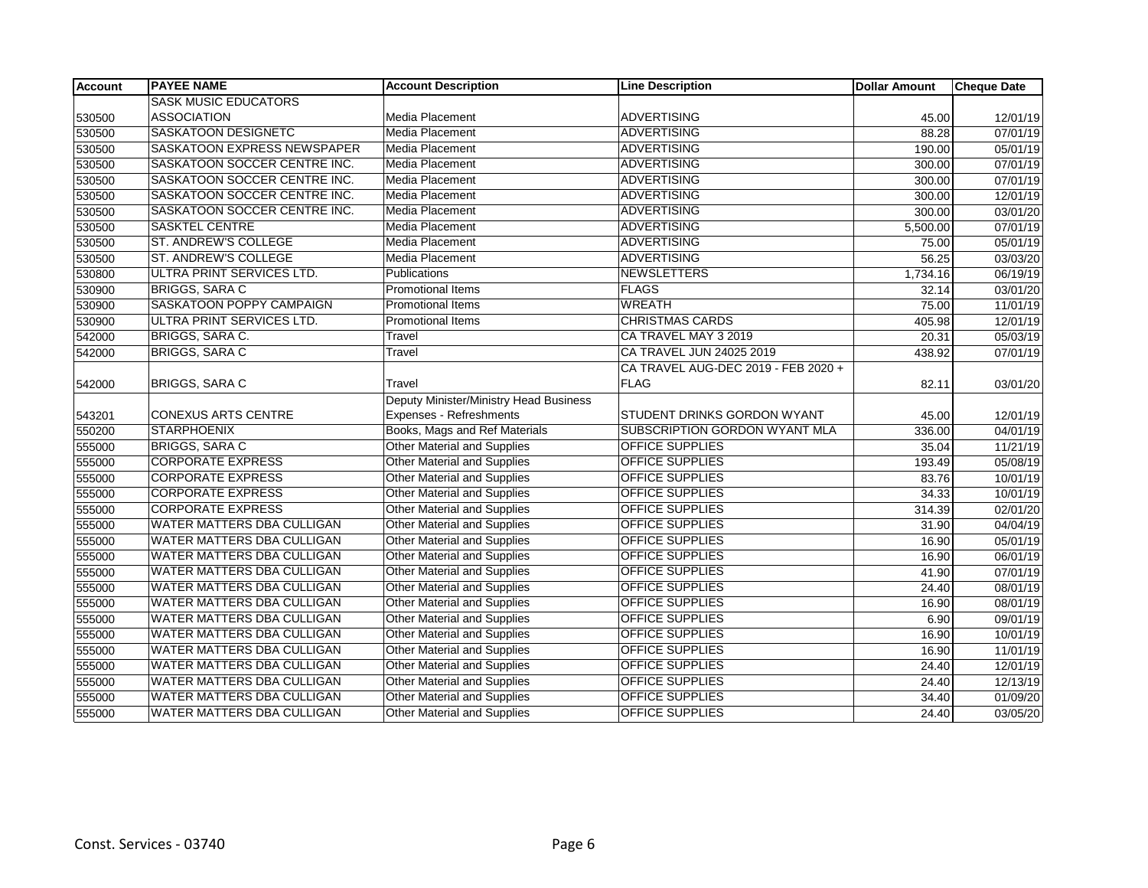| <b>Account</b> | <b>PAYEE NAME</b>                  | <b>Account Description</b>             | <b>Line Description</b>             | <b>Dollar Amount</b> | <b>Cheque Date</b>    |
|----------------|------------------------------------|----------------------------------------|-------------------------------------|----------------------|-----------------------|
|                | <b>SASK MUSIC EDUCATORS</b>        |                                        |                                     |                      |                       |
| 530500         | <b>ASSOCIATION</b>                 | Media Placement                        | <b>ADVERTISING</b>                  | 45.00                | 12/01/19              |
| 530500         | <b>SASKATOON DESIGNETC</b>         | <b>Media Placement</b>                 | <b>ADVERTISING</b>                  | 88.28                | $\overline{07/0}1/19$ |
| 530500         | <b>SASKATOON EXPRESS NEWSPAPER</b> | <b>Media Placement</b>                 | <b>ADVERTISING</b>                  | 190.00               | 05/01/19              |
| 530500         | SASKATOON SOCCER CENTRE INC.       | Media Placement                        | <b>ADVERTISING</b>                  | 300.00               | 07/01/19              |
| 530500         | SASKATOON SOCCER CENTRE INC.       | <b>Media Placement</b>                 | <b>ADVERTISING</b>                  | 300.00               | 07/01/19              |
| 530500         | SASKATOON SOCCER CENTRE INC.       | Media Placement                        | <b>ADVERTISING</b>                  | 300.00               | 12/01/19              |
| 530500         | SASKATOON SOCCER CENTRE INC.       | Media Placement                        | <b>ADVERTISING</b>                  | 300.00               | 03/01/20              |
| 530500         | <b>SASKTEL CENTRE</b>              | <b>Media Placement</b>                 | <b>ADVERTISING</b>                  | 5,500.00             | 07/01/19              |
| 530500         | ST. ANDREW'S COLLEGE               | <b>Media Placement</b>                 | <b>ADVERTISING</b>                  | 75.00                | 05/01/19              |
| 530500         | ST. ANDREW'S COLLEGE               | Media Placement                        | <b>ADVERTISING</b>                  | 56.25                | 03/03/20              |
| 530800         | ULTRA PRINT SERVICES LTD.          | Publications                           | <b>NEWSLETTERS</b>                  | 1,734.16             | 06/19/19              |
| 530900         | <b>BRIGGS, SARA C</b>              | Promotional Items                      | <b>FLAGS</b>                        | 32.14                | 03/01/20              |
| 530900         | SASKATOON POPPY CAMPAIGN           | <b>Promotional Items</b>               | <b>WREATH</b>                       | 75.00                | 11/01/19              |
| 530900         | ULTRA PRINT SERVICES LTD.          | <b>Promotional Items</b>               | <b>CHRISTMAS CARDS</b>              | 405.98               | 12/01/19              |
| 542000         | BRIGGS, SARA C.                    | Travel                                 | CA TRAVEL MAY 3 2019                | 20.31                | 05/03/19              |
| 542000         | <b>BRIGGS, SARA C</b>              | Travel                                 | CA TRAVEL JUN 24025 2019            | 438.92               | 07/01/19              |
|                |                                    |                                        | CA TRAVEL AUG-DEC 2019 - FEB 2020 + |                      |                       |
| 542000         | <b>BRIGGS, SARA C</b>              | Travel                                 | <b>FLAG</b>                         | 82.11                | 03/01/20              |
|                |                                    | Deputy Minister/Ministry Head Business |                                     |                      |                       |
| 543201         | <b>CONEXUS ARTS CENTRE</b>         | Expenses - Refreshments                | STUDENT DRINKS GORDON WYANT         | 45.00                | 12/01/19              |
| 550200         | <b>STARPHOENIX</b>                 | Books, Mags and Ref Materials          | SUBSCRIPTION GORDON WYANT MLA       | 336.00               | 04/01/19              |
| 555000         | <b>BRIGGS, SARA C</b>              | <b>Other Material and Supplies</b>     | <b>OFFICE SUPPLIES</b>              | 35.04                | 11/21/19              |
| 555000         | <b>CORPORATE EXPRESS</b>           | <b>Other Material and Supplies</b>     | <b>OFFICE SUPPLIES</b>              | 193.49               | 05/08/19              |
| 555000         | <b>CORPORATE EXPRESS</b>           | Other Material and Supplies            | <b>OFFICE SUPPLIES</b>              | 83.76                | 10/01/19              |
| 555000         | <b>CORPORATE EXPRESS</b>           | <b>Other Material and Supplies</b>     | <b>OFFICE SUPPLIES</b>              | 34.33                | 10/01/19              |
| 555000         | <b>CORPORATE EXPRESS</b>           | <b>Other Material and Supplies</b>     | <b>OFFICE SUPPLIES</b>              | 314.39               | 02/01/20              |
| 555000         | WATER MATTERS DBA CULLIGAN         | <b>Other Material and Supplies</b>     | <b>OFFICE SUPPLIES</b>              | 31.90                | 04/04/19              |
| 555000         | WATER MATTERS DBA CULLIGAN         | Other Material and Supplies            | <b>OFFICE SUPPLIES</b>              | 16.90                | 05/01/19              |
| 555000         | WATER MATTERS DBA CULLIGAN         | <b>Other Material and Supplies</b>     | <b>OFFICE SUPPLIES</b>              | 16.90                | 06/01/19              |
| 555000         | WATER MATTERS DBA CULLIGAN         | <b>Other Material and Supplies</b>     | OFFICE SUPPLIES                     | 41.90                | 07/01/19              |
| 555000         | WATER MATTERS DBA CULLIGAN         | <b>Other Material and Supplies</b>     | <b>OFFICE SUPPLIES</b>              | 24.40                | 08/01/19              |
| 555000         | WATER MATTERS DBA CULLIGAN         | Other Material and Supplies            | OFFICE SUPPLIES                     | 16.90                | 08/01/19              |
| 555000         | <b>WATER MATTERS DBA CULLIGAN</b>  | Other Material and Supplies            | <b>OFFICE SUPPLIES</b>              | 6.90                 | 09/01/19              |
| 555000         | WATER MATTERS DBA CULLIGAN         | <b>Other Material and Supplies</b>     | <b>OFFICE SUPPLIES</b>              | 16.90                | 10/01/19              |
| 555000         | WATER MATTERS DBA CULLIGAN         | <b>Other Material and Supplies</b>     | <b>OFFICE SUPPLIES</b>              | 16.90                | 11/01/19              |
| 555000         | WATER MATTERS DBA CULLIGAN         | <b>Other Material and Supplies</b>     | OFFICE SUPPLIES                     | 24.40                | 12/01/19              |
| 555000         | <b>WATER MATTERS DBA CULLIGAN</b>  | <b>Other Material and Supplies</b>     | <b>OFFICE SUPPLIES</b>              | 24.40                | 12/13/19              |
| 555000         | WATER MATTERS DBA CULLIGAN         | <b>Other Material and Supplies</b>     | <b>OFFICE SUPPLIES</b>              | 34.40                | 01/09/20              |
| 555000         | WATER MATTERS DBA CULLIGAN         | <b>Other Material and Supplies</b>     | <b>OFFICE SUPPLIES</b>              | 24.40                | 03/05/20              |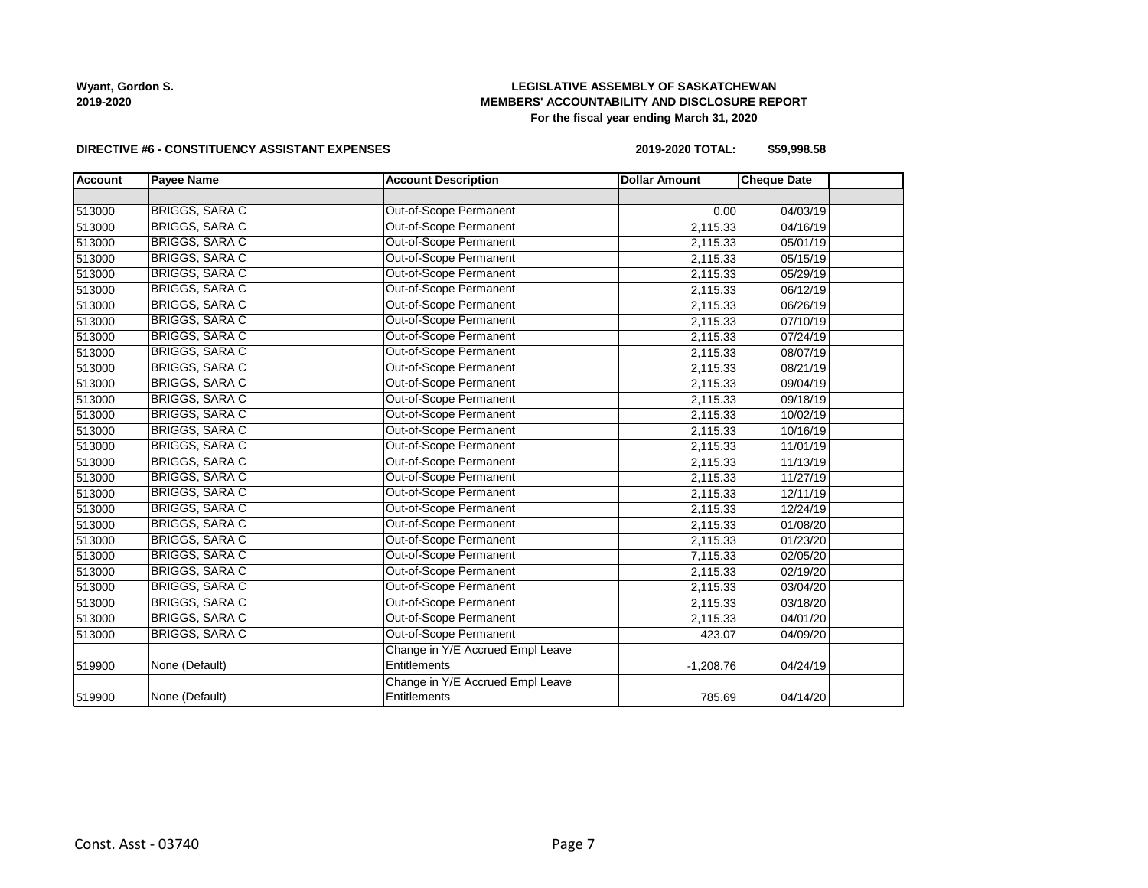# **LEGISLATIVE ASSEMBLY OF SASKATCHEWAN MEMBERS' ACCOUNTABILITY AND DISCLOSURE REPORT For the fiscal year ending March 31, 2020**

#### **DIRECTIVE #6 - CONSTITUENCY ASSISTANT EXPENSES**

**2019-2020 TOTAL: \$59,998.58**

| <b>Account</b> | <b>Payee Name</b>     | <b>Account Description</b>       | <b>Dollar Amount</b> | <b>Cheque Date</b> |  |
|----------------|-----------------------|----------------------------------|----------------------|--------------------|--|
|                |                       |                                  |                      |                    |  |
| 513000         | <b>BRIGGS, SARA C</b> | Out-of-Scope Permanent           | 0.00                 | 04/03/19           |  |
| 513000         | <b>BRIGGS, SARA C</b> | Out-of-Scope Permanent           | 2,115.33             | 04/16/19           |  |
| 513000         | <b>BRIGGS, SARA C</b> | Out-of-Scope Permanent           | 2,115.33             | 05/01/19           |  |
| 513000         | <b>BRIGGS, SARA C</b> | Out-of-Scope Permanent           | 2,115.33             | 05/15/19           |  |
| 513000         | <b>BRIGGS, SARA C</b> | Out-of-Scope Permanent           | 2,115.33             | 05/29/19           |  |
| 513000         | <b>BRIGGS, SARA C</b> | Out-of-Scope Permanent           | 2,115.33             | 06/12/19           |  |
| 513000         | <b>BRIGGS, SARA C</b> | Out-of-Scope Permanent           | 2,115.33             | 06/26/19           |  |
| 513000         | BRIGGS, SARA C        | Out-of-Scope Permanent           | 2,115.33             | 07/10/19           |  |
| 513000         | <b>BRIGGS, SARA C</b> | Out-of-Scope Permanent           | 2,115.33             | 07/24/19           |  |
| 513000         | <b>BRIGGS, SARA C</b> | <b>Out-of-Scope Permanent</b>    | 2,115.33             | 08/07/19           |  |
| 513000         | <b>BRIGGS, SARA C</b> | Out-of-Scope Permanent           | 2,115.33             | 08/21/19           |  |
| 513000         | <b>BRIGGS, SARA C</b> | Out-of-Scope Permanent           | 2,115.33             | 09/04/19           |  |
| 513000         | <b>BRIGGS, SARA C</b> | Out-of-Scope Permanent           | 2,115.33             | 09/18/19           |  |
| 513000         | <b>BRIGGS, SARA C</b> | Out-of-Scope Permanent           | 2,115.33             | 10/02/19           |  |
| 513000         | <b>BRIGGS, SARA C</b> | Out-of-Scope Permanent           | 2,115.33             | 10/16/19           |  |
| 513000         | <b>BRIGGS, SARA C</b> | Out-of-Scope Permanent           | 2,115.33             | 11/01/19           |  |
| 513000         | <b>BRIGGS, SARA C</b> | Out-of-Scope Permanent           | 2,115.33             | 11/13/19           |  |
| 513000         | <b>BRIGGS, SARA C</b> | Out-of-Scope Permanent           | 2,115.33             | 11/27/19           |  |
| 513000         | <b>BRIGGS, SARA C</b> | Out-of-Scope Permanent           | 2,115.33             | 12/11/19           |  |
| 513000         | <b>BRIGGS, SARA C</b> | Out-of-Scope Permanent           | 2,115.33             | 12/24/19           |  |
| 513000         | <b>BRIGGS, SARA C</b> | Out-of-Scope Permanent           | 2,115.33             | 01/08/20           |  |
| 513000         | <b>BRIGGS, SARA C</b> | Out-of-Scope Permanent           | 2,115.33             | 01/23/20           |  |
| 513000         | <b>BRIGGS, SARA C</b> | Out-of-Scope Permanent           | 7,115.33             | 02/05/20           |  |
| 513000         | <b>BRIGGS, SARA C</b> | Out-of-Scope Permanent           | 2,115.33             | 02/19/20           |  |
| 513000         | BRIGGS, SARA C        | Out-of-Scope Permanent           | 2,115.33             | 03/04/20           |  |
| 513000         | <b>BRIGGS, SARA C</b> | Out-of-Scope Permanent           | 2,115.33             | 03/18/20           |  |
| 513000         | <b>BRIGGS, SARA C</b> | Out-of-Scope Permanent           | 2,115.33             | 04/01/20           |  |
| 513000         | <b>BRIGGS, SARA C</b> | Out-of-Scope Permanent           | 423.07               | 04/09/20           |  |
|                |                       | Change in Y/E Accrued Empl Leave |                      |                    |  |
| 519900         | None (Default)        | Entitlements                     | $-1,208.76$          | 04/24/19           |  |
|                |                       | Change in Y/E Accrued Empl Leave |                      |                    |  |
| 519900         | None (Default)        | Entitlements                     | 785.69               | 04/14/20           |  |